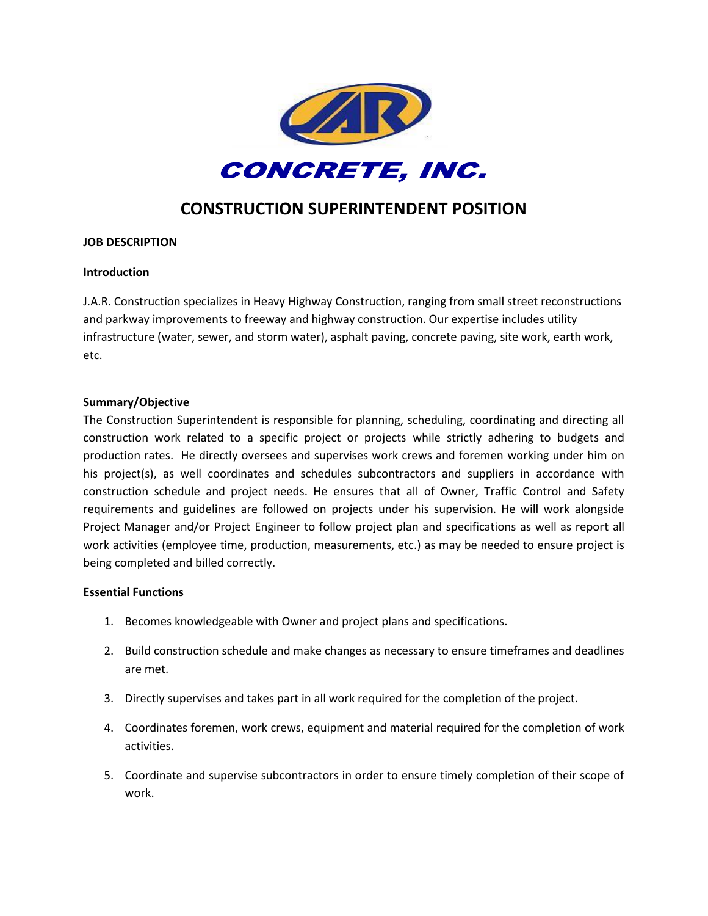

# **CONSTRUCTION SUPERINTENDENT POSITION**

## **JOB DESCRIPTION**

#### **Introduction**

J.A.R. Construction specializes in Heavy Highway Construction, ranging from small street reconstructions and parkway improvements to freeway and highway construction. Our expertise includes utility infrastructure (water, sewer, and storm water), asphalt paving, concrete paving, site work, earth work, etc.

#### **Summary/Objective**

The Construction Superintendent is responsible for planning, scheduling, coordinating and directing all construction work related to a specific project or projects while strictly adhering to budgets and production rates. He directly oversees and supervises work crews and foremen working under him on his project(s), as well coordinates and schedules subcontractors and suppliers in accordance with construction schedule and project needs. He ensures that all of Owner, Traffic Control and Safety requirements and guidelines are followed on projects under his supervision. He will work alongside Project Manager and/or Project Engineer to follow project plan and specifications as well as report all work activities (employee time, production, measurements, etc.) as may be needed to ensure project is being completed and billed correctly.

## **Essential Functions**

- 1. Becomes knowledgeable with Owner and project plans and specifications.
- 2. Build construction schedule and make changes as necessary to ensure timeframes and deadlines are met.
- 3. Directly supervises and takes part in all work required for the completion of the project.
- 4. Coordinates foremen, work crews, equipment and material required for the completion of work activities.
- 5. Coordinate and supervise subcontractors in order to ensure timely completion of their scope of work.